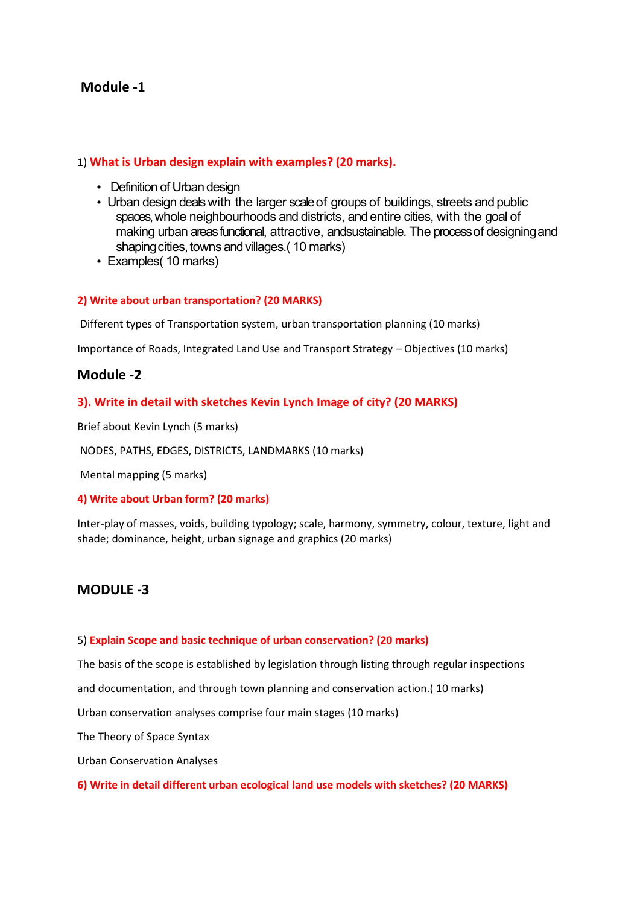# **Module -1**

### 1) **What is Urban design explain with examples? (20 marks).**

- Definition of Urban design
- Urban design deals with the larger scale of groups of buildings, streets and public spaces, whole neighbourhoods and districts, and entire cities, with the goal of making urban areas functional, attractive, andsustainable. The processof designingand shaping cities, towns and villages.(10 marks)
- Examples( 10 marks)

#### **2) Write about urban transportation? (20 MARKS)**

Different types of Transportation system, urban transportation planning (10 marks)

Importance of Roads, Integrated Land Use and Transport Strategy – Objectives (10 marks)

## **Module -2**

### **3). Write in detail with sketches Kevin Lynch Image of city? (20 MARKS)**

Brief about Kevin Lynch (5 marks)

NODES, PATHS, EDGES, DISTRICTS, LANDMARKS (10 marks)

Mental mapping (5 marks)

#### **4) Write about Urban form? (20 marks)**

Inter-play of masses, voids, building typology; scale, harmony, symmetry, colour, texture, light and shade; dominance, height, urban signage and graphics (20 marks)

## **MODULE -3**

#### 5) **Explain Scope and basic technique of urban conservation? (20 marks)**

The basis of the scope is established by legislation through listing through regular inspections

and documentation, and through town planning and conservation action.( 10 marks)

Urban conservation analyses comprise four main stages (10 marks)

The Theory of Space Syntax

Urban Conservation Analyses

### **6) Write in detail different urban ecological land use models with sketches? (20 MARKS)**